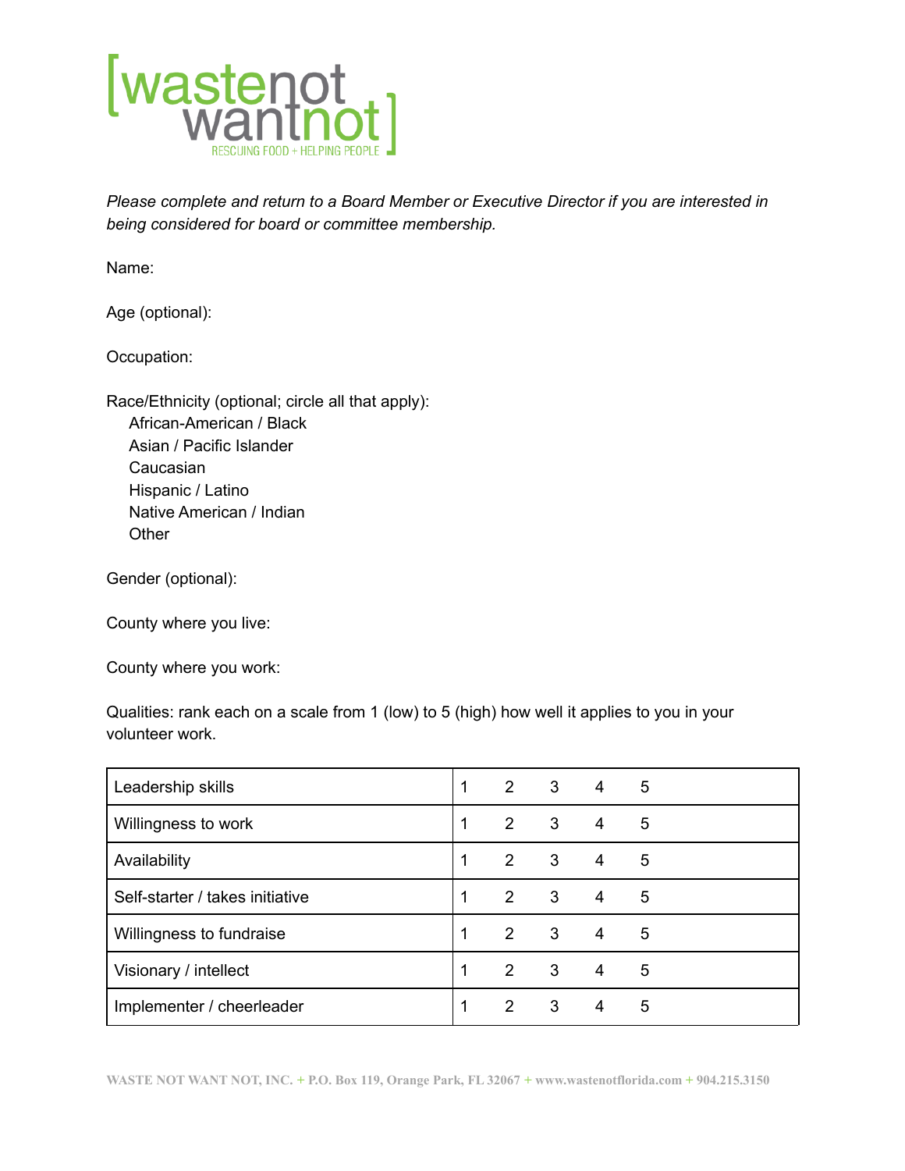

*Please complete and return to a Board Member or Executive Director if you are interested in being considered for board or committee membership.*

Name:

Age (optional):

Occupation:

Race/Ethnicity (optional; circle all that apply): African-American / Black Asian / Pacific Islander Caucasian Hispanic / Latino Native American / Indian **Other** 

Gender (optional):

County where you live:

County where you work:

Qualities: rank each on a scale from 1 (low) to 5 (high) how well it applies to you in your volunteer work.

| Leadership skills               | 1 | $2^{\circ}$    | 3 | 4 | 5 |
|---------------------------------|---|----------------|---|---|---|
| Willingness to work             | 1 | 2              | 3 | 4 | 5 |
| Availability                    | 1 | $\overline{2}$ | 3 | 4 | 5 |
| Self-starter / takes initiative | 1 | 2              | 3 | 4 | 5 |
| Willingness to fundraise        | 1 | $2^{\circ}$    | 3 | 4 | 5 |
| Visionary / intellect           |   | 2              | 3 | 4 | 5 |
| Implementer / cheerleader       |   | 2              | 3 | 4 | 5 |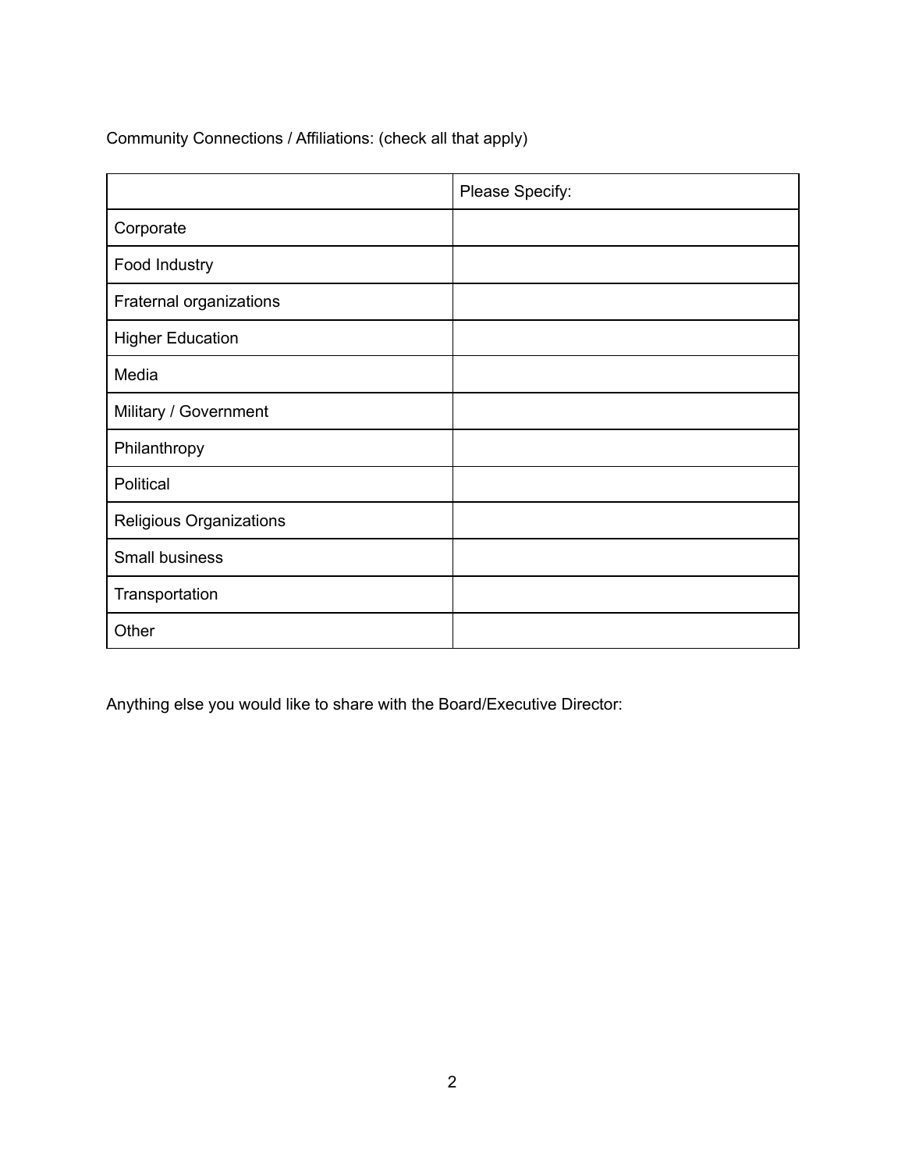Community Connections / Affiliations: (check all that apply)

|                         | Please Specify: |
|-------------------------|-----------------|
| Corporate               |                 |
| Food Industry           |                 |
| Fraternal organizations |                 |
| <b>Higher Education</b> |                 |
| Media                   |                 |
| Military / Government   |                 |
| Philanthropy            |                 |
| Political               |                 |
| Religious Organizations |                 |
| Small business          |                 |
| Transportation          |                 |
| Other                   |                 |

Anything else you would like to share with the Board/Executive Director: